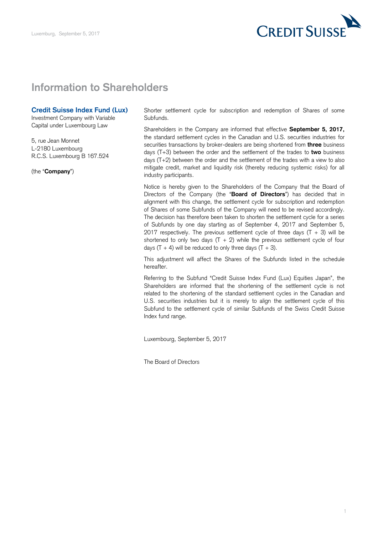

## **Information to Shareholders**

## **Credit Suisse Index Fund (Lux)**

Investment Company with Variable Capital under Luxembourg Law

 5, rue Jean Monnet L-2180 Luxembourg R.C.S. Luxembourg B 167.524

(the "**Company**")

 Shorter settlement cycle for subscription and redemption of Shares of some Subfunds.

 Shareholders in the Company are informed that effective **September 5, 2017,**  the standard settlement cycles in the Canadian and U.S. securities industries for securities transactions by broker-dealers are being shortened from **three** business days (T+3) between the order and the settlement of the trades to **two** business days (T+2) between the order and the settlement of the trades with a view to also mitigate credit, market and liquidity risk (thereby reducing systemic risks) for all industry participants.

 Notice is hereby given to the Shareholders of the Company that the Board of Directors of the Company (the "**Board of Directors**") has decided that in alignment with this change, the settlement cycle for subscription and redemption of Shares of some Subfunds of the Company will need to be revised accordingly. The decision has therefore been taken to shorten the settlement cycle for a series of Subfunds by one day starting as of September 4, 2017 and September 5, 2017 respectively. The previous settlement cycle of three days  $(T + 3)$  will be shortened to only two days  $(T + 2)$  while the previous settlement cycle of four days  $(T + 4)$  will be reduced to only three days  $(T + 3)$ .

 This adjustment will affect the Shares of the Subfunds listed in the schedule hereafter.

 Referring to the Subfund "Credit Suisse Index Fund (Lux) Equities Japan", the Shareholders are informed that the shortening of the settlement cycle is not related to the shortening of the standard settlement cycles in the Canadian and U.S. securities industries but it is merely to align the settlement cycle of this Subfund to the settlement cycle of similar Subfunds of the Swiss Credit Suisse Index fund range.

Luxembourg, September 5, 2017

The Board of Directors